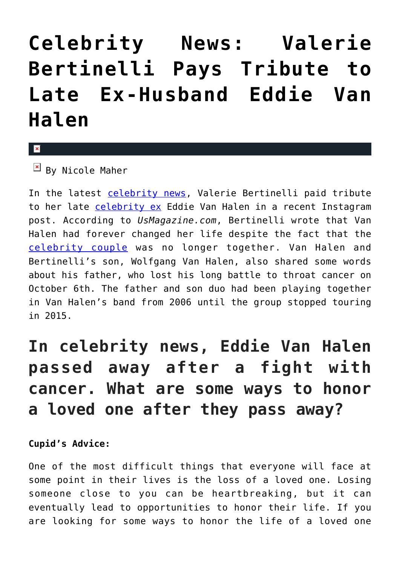## **[Celebrity News: Valerie](https://cupidspulse.com/135880/celebrity-news-valerie-bertinelli-pays-tribute-late-ex-husband-eddie-van-halen/) [Bertinelli Pays Tribute to](https://cupidspulse.com/135880/celebrity-news-valerie-bertinelli-pays-tribute-late-ex-husband-eddie-van-halen/) [Late Ex-Husband Eddie Van](https://cupidspulse.com/135880/celebrity-news-valerie-bertinelli-pays-tribute-late-ex-husband-eddie-van-halen/) [Halen](https://cupidspulse.com/135880/celebrity-news-valerie-bertinelli-pays-tribute-late-ex-husband-eddie-van-halen/)**

## x

 $\mathbb{F}$  By Nicole Maher

In the latest [celebrity news,](http://cupidspulse.com/celebrity-news/) Valerie Bertinelli paid tribute to her late [celebrity ex](http://cupidspulse.com/celebrity-news/celebrity-break-ups/) Eddie Van Halen in a recent Instagram post. According to *UsMagazine.com*, Bertinelli wrote that Van Halen had forever changed her life despite the fact that the [celebrity couple](http://cupidspulse.com/celebrity-news/celebrity-dating/) was no longer together. Van Halen and Bertinelli's son, Wolfgang Van Halen, also shared some words about his father, who lost his long battle to throat cancer on October 6th. The father and son duo had been playing together in Van Halen's band from 2006 until the group stopped touring in 2015.

## **In celebrity news, Eddie Van Halen passed away after a fight with cancer. What are some ways to honor a loved one after they pass away?**

## **Cupid's Advice:**

One of the most difficult things that everyone will face at some point in their lives is the loss of a loved one. Losing someone close to you can be heartbreaking, but it can eventually lead to opportunities to honor their life. If you are looking for some ways to honor the life of a loved one